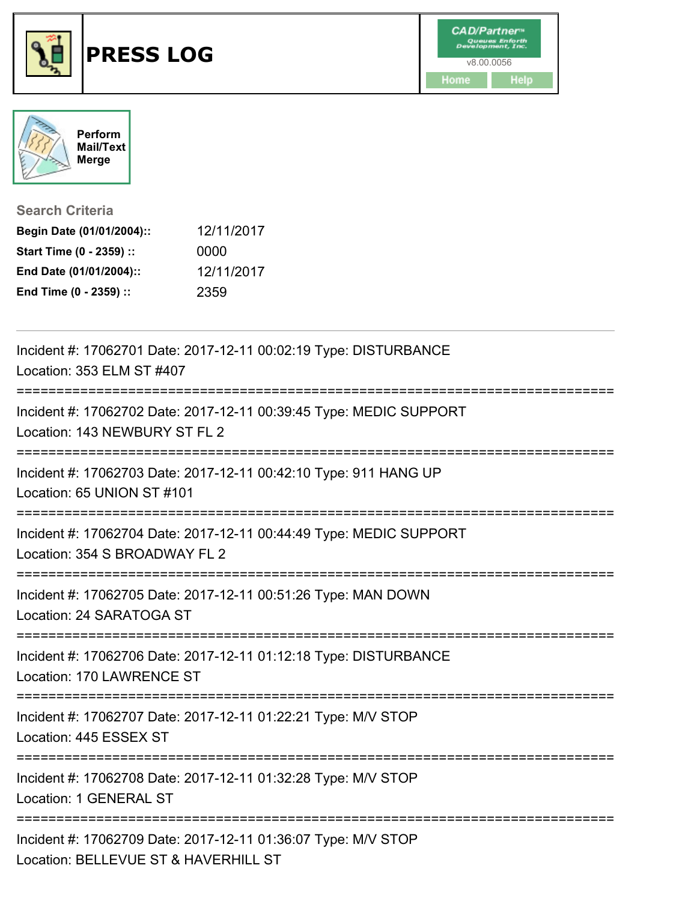



**Search Criteria**

| Begin Date (01/01/2004):: | 12/11/2017 |
|---------------------------|------------|
| Start Time (0 - 2359) ::  | 0000       |
| End Date (01/01/2004)::   | 12/11/2017 |
| End Time (0 - 2359) ::    | 2359       |

| Incident #: 17062701 Date: 2017-12-11 00:02:19 Type: DISTURBANCE<br>Location: 353 ELM ST #407         |
|-------------------------------------------------------------------------------------------------------|
| Incident #: 17062702 Date: 2017-12-11 00:39:45 Type: MEDIC SUPPORT<br>Location: 143 NEWBURY ST FL 2   |
| Incident #: 17062703 Date: 2017-12-11 00:42:10 Type: 911 HANG UP<br>Location: 65 UNION ST #101        |
| Incident #: 17062704 Date: 2017-12-11 00:44:49 Type: MEDIC SUPPORT<br>Location: 354 S BROADWAY FL 2   |
| Incident #: 17062705 Date: 2017-12-11 00:51:26 Type: MAN DOWN<br>Location: 24 SARATOGA ST             |
| Incident #: 17062706 Date: 2017-12-11 01:12:18 Type: DISTURBANCE<br>Location: 170 LAWRENCE ST         |
| Incident #: 17062707 Date: 2017-12-11 01:22:21 Type: M/V STOP<br>Location: 445 ESSEX ST               |
| Incident #: 17062708 Date: 2017-12-11 01:32:28 Type: M/V STOP<br>Location: 1 GENERAL ST               |
| Incident #: 17062709 Date: 2017-12-11 01:36:07 Type: M/V STOP<br>Location: BELLEVUE ST & HAVERHILL ST |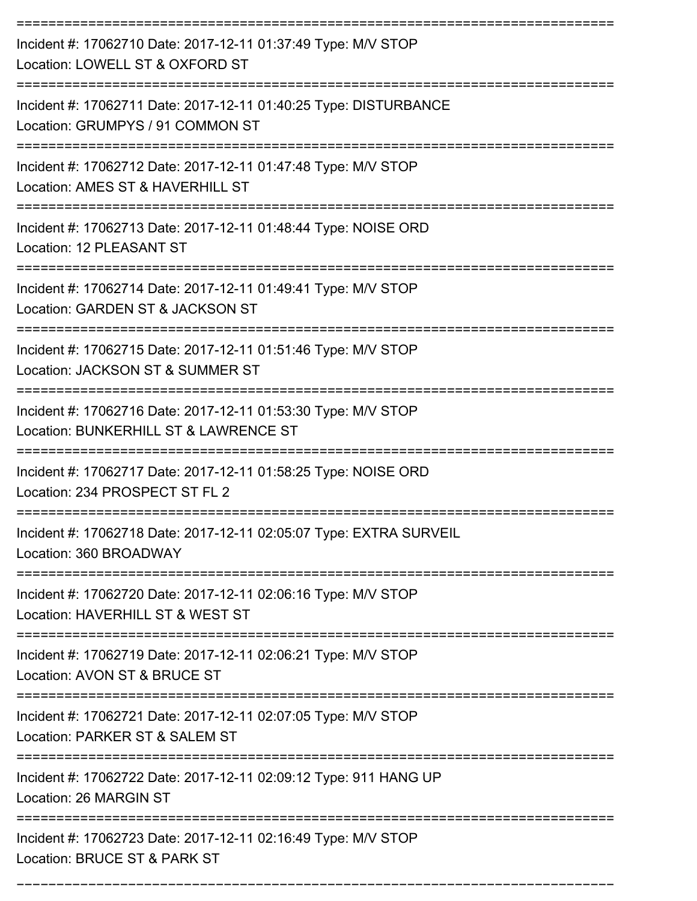| Incident #: 17062710 Date: 2017-12-11 01:37:49 Type: M/V STOP<br>Location: LOWELL ST & OXFORD ST       |
|--------------------------------------------------------------------------------------------------------|
| Incident #: 17062711 Date: 2017-12-11 01:40:25 Type: DISTURBANCE<br>Location: GRUMPYS / 91 COMMON ST   |
| Incident #: 17062712 Date: 2017-12-11 01:47:48 Type: M/V STOP<br>Location: AMES ST & HAVERHILL ST      |
| Incident #: 17062713 Date: 2017-12-11 01:48:44 Type: NOISE ORD<br>Location: 12 PLEASANT ST             |
| Incident #: 17062714 Date: 2017-12-11 01:49:41 Type: M/V STOP<br>Location: GARDEN ST & JACKSON ST      |
| Incident #: 17062715 Date: 2017-12-11 01:51:46 Type: M/V STOP<br>Location: JACKSON ST & SUMMER ST      |
| Incident #: 17062716 Date: 2017-12-11 01:53:30 Type: M/V STOP<br>Location: BUNKERHILL ST & LAWRENCE ST |
| Incident #: 17062717 Date: 2017-12-11 01:58:25 Type: NOISE ORD<br>Location: 234 PROSPECT ST FL 2       |
| Incident #: 17062718 Date: 2017-12-11 02:05:07 Type: EXTRA SURVEIL<br>Location: 360 BROADWAY           |
| Incident #: 17062720 Date: 2017-12-11 02:06:16 Type: M/V STOP<br>Location: HAVERHILL ST & WEST ST      |
| Incident #: 17062719 Date: 2017-12-11 02:06:21 Type: M/V STOP<br>Location: AVON ST & BRUCE ST          |
| Incident #: 17062721 Date: 2017-12-11 02:07:05 Type: M/V STOP<br>Location: PARKER ST & SALEM ST        |
| Incident #: 17062722 Date: 2017-12-11 02:09:12 Type: 911 HANG UP<br>Location: 26 MARGIN ST             |
| Incident #: 17062723 Date: 2017-12-11 02:16:49 Type: M/V STOP<br>Location: BRUCE ST & PARK ST          |

===========================================================================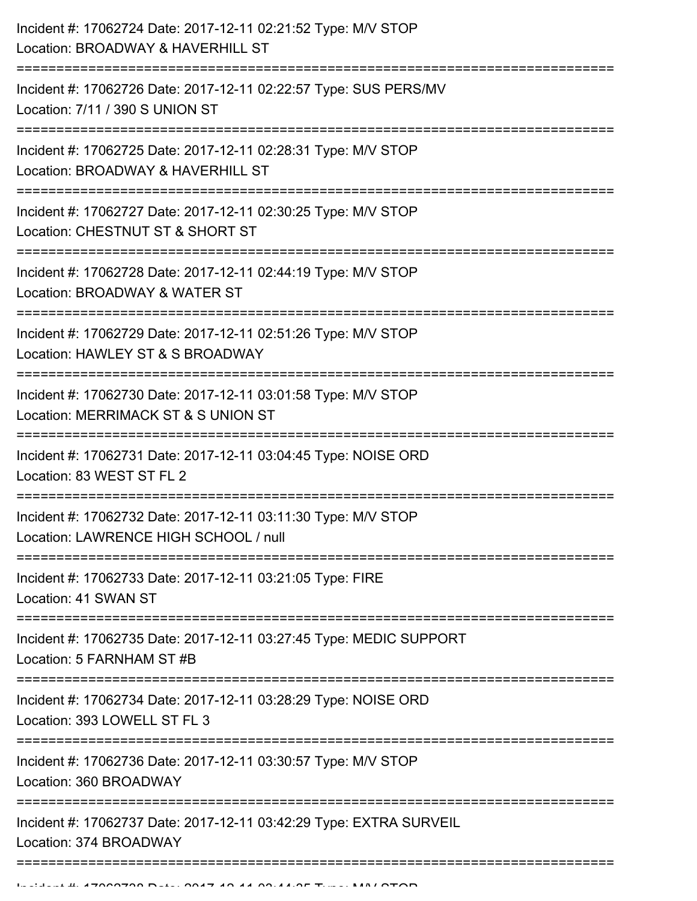| :=============================<br>Location: BROADWAY & WATER ST<br>========================<br>-------------<br>Location: MERRIMACK ST & S UNION ST<br>----------------<br>Location: 83 WEST ST FL 2 | Incident #: 17062724 Date: 2017-12-11 02:21:52 Type: M/V STOP<br>Location: BROADWAY & HAVERHILL ST     |
|------------------------------------------------------------------------------------------------------------------------------------------------------------------------------------------------------|--------------------------------------------------------------------------------------------------------|
|                                                                                                                                                                                                      | Incident #: 17062726 Date: 2017-12-11 02:22:57 Type: SUS PERS/MV<br>Location: 7/11 / 390 S UNION ST    |
|                                                                                                                                                                                                      | Incident #: 17062725 Date: 2017-12-11 02:28:31 Type: M/V STOP<br>Location: BROADWAY & HAVERHILL ST     |
|                                                                                                                                                                                                      | Incident #: 17062727 Date: 2017-12-11 02:30:25 Type: M/V STOP<br>Location: CHESTNUT ST & SHORT ST      |
|                                                                                                                                                                                                      | Incident #: 17062728 Date: 2017-12-11 02:44:19 Type: M/V STOP                                          |
|                                                                                                                                                                                                      | Incident #: 17062729 Date: 2017-12-11 02:51:26 Type: M/V STOP<br>Location: HAWLEY ST & S BROADWAY      |
|                                                                                                                                                                                                      | Incident #: 17062730 Date: 2017-12-11 03:01:58 Type: M/V STOP                                          |
|                                                                                                                                                                                                      | Incident #: 17062731 Date: 2017-12-11 03:04:45 Type: NOISE ORD                                         |
|                                                                                                                                                                                                      | Incident #: 17062732 Date: 2017-12-11 03:11:30 Type: M/V STOP<br>Location: LAWRENCE HIGH SCHOOL / null |
|                                                                                                                                                                                                      | Incident #: 17062733 Date: 2017-12-11 03:21:05 Type: FIRE<br>Location: 41 SWAN ST                      |
|                                                                                                                                                                                                      | Incident #: 17062735 Date: 2017-12-11 03:27:45 Type: MEDIC SUPPORT<br>Location: 5 FARNHAM ST #B        |
|                                                                                                                                                                                                      | Incident #: 17062734 Date: 2017-12-11 03:28:29 Type: NOISE ORD<br>Location: 393 LOWELL ST FL 3         |
|                                                                                                                                                                                                      | Incident #: 17062736 Date: 2017-12-11 03:30:57 Type: M/V STOP<br>Location: 360 BROADWAY                |
|                                                                                                                                                                                                      | Incident #: 17062737 Date: 2017-12-11 03:42:29 Type: EXTRA SURVEIL<br>Location: 374 BROADWAY           |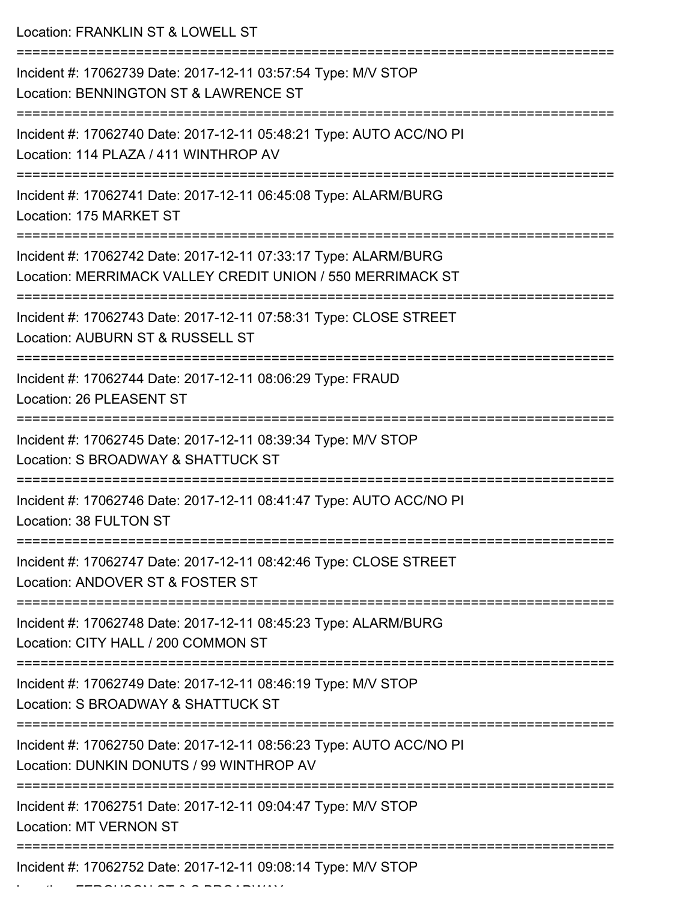| Location: FRANKLIN ST & LOWELL ST                                                                                             |
|-------------------------------------------------------------------------------------------------------------------------------|
| Incident #: 17062739 Date: 2017-12-11 03:57:54 Type: M/V STOP<br>Location: BENNINGTON ST & LAWRENCE ST                        |
| Incident #: 17062740 Date: 2017-12-11 05:48:21 Type: AUTO ACC/NO PI<br>Location: 114 PLAZA / 411 WINTHROP AV                  |
| Incident #: 17062741 Date: 2017-12-11 06:45:08 Type: ALARM/BURG<br>Location: 175 MARKET ST                                    |
| Incident #: 17062742 Date: 2017-12-11 07:33:17 Type: ALARM/BURG<br>Location: MERRIMACK VALLEY CREDIT UNION / 550 MERRIMACK ST |
| Incident #: 17062743 Date: 2017-12-11 07:58:31 Type: CLOSE STREET<br>Location: AUBURN ST & RUSSELL ST                         |
| Incident #: 17062744 Date: 2017-12-11 08:06:29 Type: FRAUD<br>Location: 26 PLEASENT ST                                        |
| Incident #: 17062745 Date: 2017-12-11 08:39:34 Type: M/V STOP<br>Location: S BROADWAY & SHATTUCK ST                           |
| Incident #: 17062746 Date: 2017-12-11 08:41:47 Type: AUTO ACC/NO PI<br>Location: 38 FULTON ST                                 |
| Incident #: 17062747 Date: 2017-12-11 08:42:46 Type: CLOSE STREET<br>Location: ANDOVER ST & FOSTER ST                         |
| Incident #: 17062748 Date: 2017-12-11 08:45:23 Type: ALARM/BURG<br>Location: CITY HALL / 200 COMMON ST                        |
| Incident #: 17062749 Date: 2017-12-11 08:46:19 Type: M/V STOP<br>Location: S BROADWAY & SHATTUCK ST                           |
| Incident #: 17062750 Date: 2017-12-11 08:56:23 Type: AUTO ACC/NO PI<br>Location: DUNKIN DONUTS / 99 WINTHROP AV               |
| Incident #: 17062751 Date: 2017-12-11 09:04:47 Type: M/V STOP<br><b>Location: MT VERNON ST</b>                                |
| Incident #: 17062752 Date: 2017-12-11 09:08:14 Type: M/V STOP                                                                 |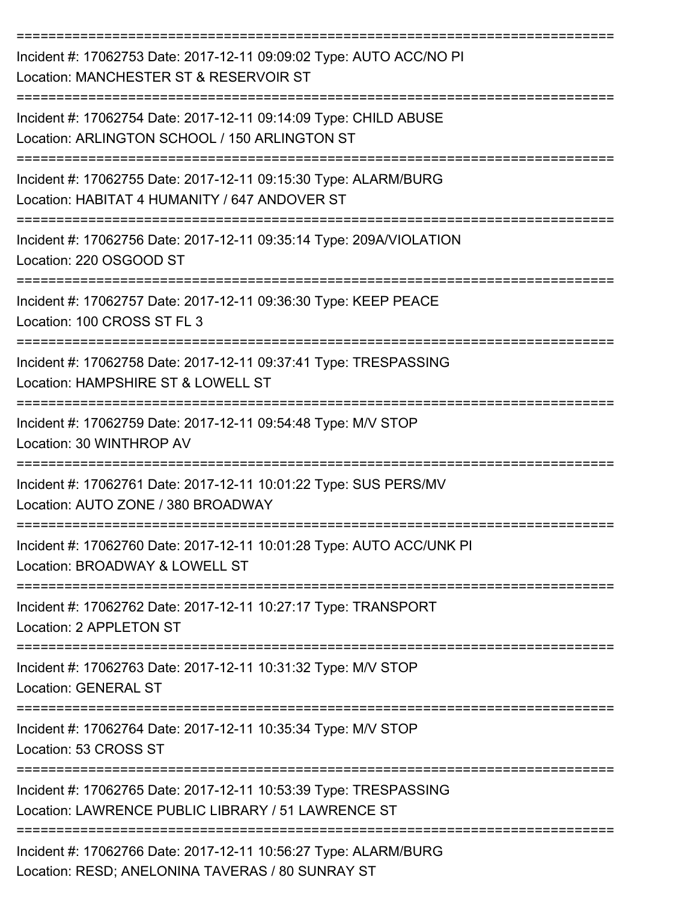| Incident #: 17062753 Date: 2017-12-11 09:09:02 Type: AUTO ACC/NO PI<br>Location: MANCHESTER ST & RESERVOIR ST               |
|-----------------------------------------------------------------------------------------------------------------------------|
| Incident #: 17062754 Date: 2017-12-11 09:14:09 Type: CHILD ABUSE<br>Location: ARLINGTON SCHOOL / 150 ARLINGTON ST           |
| Incident #: 17062755 Date: 2017-12-11 09:15:30 Type: ALARM/BURG<br>Location: HABITAT 4 HUMANITY / 647 ANDOVER ST            |
| Incident #: 17062756 Date: 2017-12-11 09:35:14 Type: 209A/VIOLATION<br>Location: 220 OSGOOD ST                              |
| Incident #: 17062757 Date: 2017-12-11 09:36:30 Type: KEEP PEACE<br>Location: 100 CROSS ST FL 3                              |
| Incident #: 17062758 Date: 2017-12-11 09:37:41 Type: TRESPASSING<br>Location: HAMPSHIRE ST & LOWELL ST                      |
| Incident #: 17062759 Date: 2017-12-11 09:54:48 Type: M/V STOP<br>Location: 30 WINTHROP AV                                   |
| Incident #: 17062761 Date: 2017-12-11 10:01:22 Type: SUS PERS/MV<br>Location: AUTO ZONE / 380 BROADWAY                      |
| Incident #: 17062760 Date: 2017-12-11 10:01:28 Type: AUTO ACC/UNK PI<br>Location: BROADWAY & LOWELL ST                      |
| Incident #: 17062762 Date: 2017-12-11 10:27:17 Type: TRANSPORT<br>Location: 2 APPLETON ST                                   |
| Incident #: 17062763 Date: 2017-12-11 10:31:32 Type: M/V STOP<br><b>Location: GENERAL ST</b>                                |
| =================================<br>Incident #: 17062764 Date: 2017-12-11 10:35:34 Type: M/V STOP<br>Location: 53 CROSS ST |
| Incident #: 17062765 Date: 2017-12-11 10:53:39 Type: TRESPASSING<br>Location: LAWRENCE PUBLIC LIBRARY / 51 LAWRENCE ST      |
| Incident #: 17062766 Date: 2017-12-11 10:56:27 Type: ALARM/BURG<br>Location: RESD; ANELONINA TAVERAS / 80 SUNRAY ST         |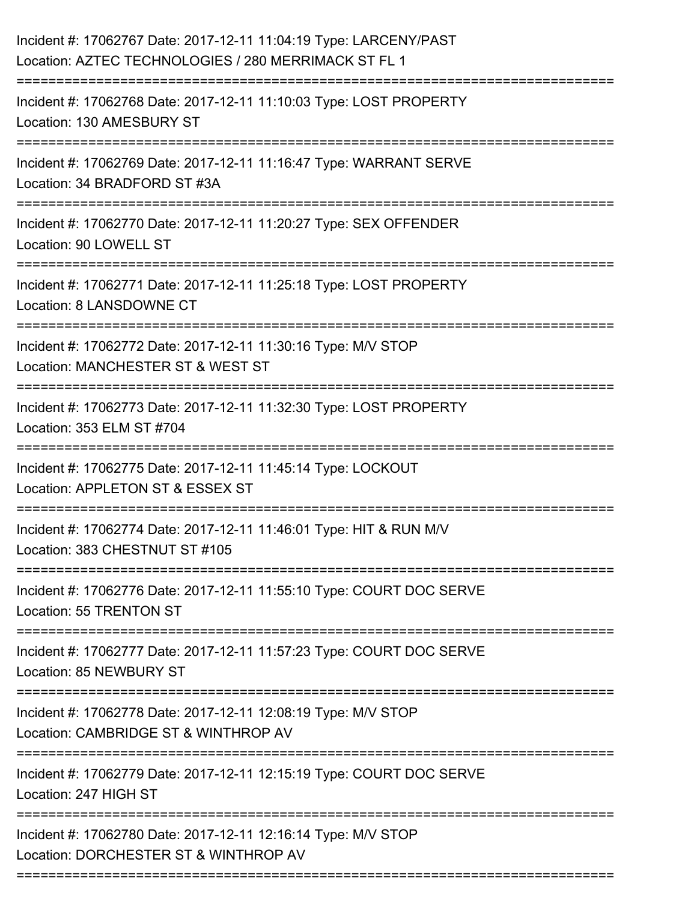| Incident #: 17062767 Date: 2017-12-11 11:04:19 Type: LARCENY/PAST<br>Location: AZTEC TECHNOLOGIES / 280 MERRIMACK ST FL 1 |
|---------------------------------------------------------------------------------------------------------------------------|
| Incident #: 17062768 Date: 2017-12-11 11:10:03 Type: LOST PROPERTY<br>Location: 130 AMESBURY ST                           |
| Incident #: 17062769 Date: 2017-12-11 11:16:47 Type: WARRANT SERVE<br>Location: 34 BRADFORD ST #3A                        |
| Incident #: 17062770 Date: 2017-12-11 11:20:27 Type: SEX OFFENDER<br>Location: 90 LOWELL ST                               |
| Incident #: 17062771 Date: 2017-12-11 11:25:18 Type: LOST PROPERTY<br>Location: 8 LANSDOWNE CT                            |
| Incident #: 17062772 Date: 2017-12-11 11:30:16 Type: M/V STOP<br>Location: MANCHESTER ST & WEST ST                        |
| Incident #: 17062773 Date: 2017-12-11 11:32:30 Type: LOST PROPERTY<br>Location: 353 ELM ST #704                           |
| Incident #: 17062775 Date: 2017-12-11 11:45:14 Type: LOCKOUT<br>Location: APPLETON ST & ESSEX ST                          |
| Incident #: 17062774 Date: 2017-12-11 11:46:01 Type: HIT & RUN M/V<br>Location: 383 CHESTNUT ST #105                      |
| Incident #: 17062776 Date: 2017-12-11 11:55:10 Type: COURT DOC SERVE<br>Location: 55 TRENTON ST                           |
| Incident #: 17062777 Date: 2017-12-11 11:57:23 Type: COURT DOC SERVE<br>Location: 85 NEWBURY ST                           |
| Incident #: 17062778 Date: 2017-12-11 12:08:19 Type: M/V STOP<br>Location: CAMBRIDGE ST & WINTHROP AV                     |
| Incident #: 17062779 Date: 2017-12-11 12:15:19 Type: COURT DOC SERVE<br>Location: 247 HIGH ST                             |
| Incident #: 17062780 Date: 2017-12-11 12:16:14 Type: M/V STOP<br>Location: DORCHESTER ST & WINTHROP AV                    |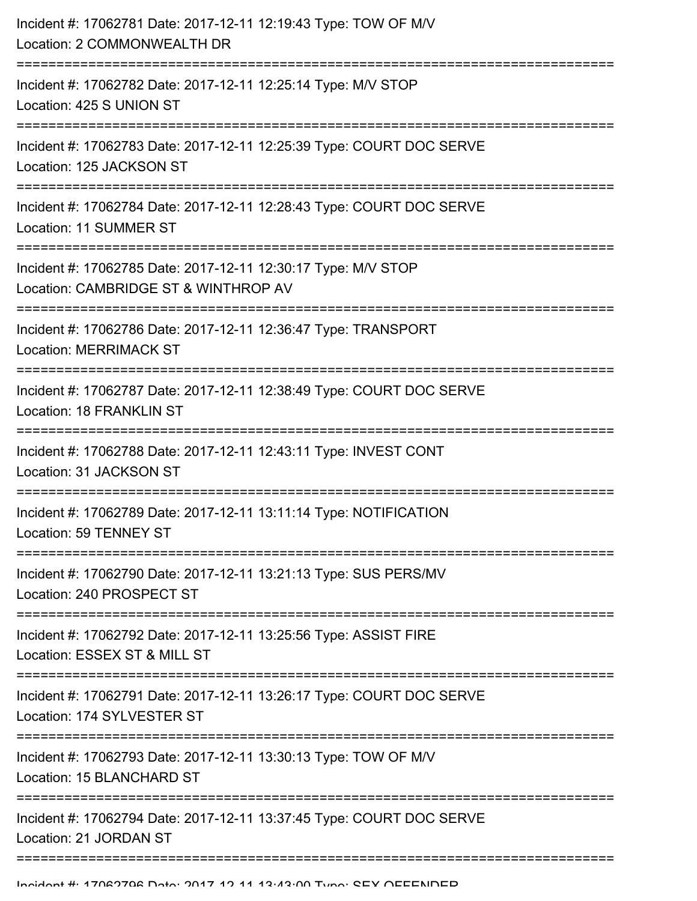| Incident #: 17062781 Date: 2017-12-11 12:19:43 Type: TOW OF M/V<br>Location: 2 COMMONWEALTH DR        |
|-------------------------------------------------------------------------------------------------------|
| Incident #: 17062782 Date: 2017-12-11 12:25:14 Type: M/V STOP<br>Location: 425 S UNION ST             |
| Incident #: 17062783 Date: 2017-12-11 12:25:39 Type: COURT DOC SERVE<br>Location: 125 JACKSON ST      |
| Incident #: 17062784 Date: 2017-12-11 12:28:43 Type: COURT DOC SERVE<br>Location: 11 SUMMER ST        |
| Incident #: 17062785 Date: 2017-12-11 12:30:17 Type: M/V STOP<br>Location: CAMBRIDGE ST & WINTHROP AV |
| Incident #: 17062786 Date: 2017-12-11 12:36:47 Type: TRANSPORT<br><b>Location: MERRIMACK ST</b>       |
| Incident #: 17062787 Date: 2017-12-11 12:38:49 Type: COURT DOC SERVE<br>Location: 18 FRANKLIN ST      |
| Incident #: 17062788 Date: 2017-12-11 12:43:11 Type: INVEST CONT<br>Location: 31 JACKSON ST           |
| Incident #: 17062789 Date: 2017-12-11 13:11:14 Type: NOTIFICATION<br>Location: 59 TENNEY ST           |
| Incident #: 17062790 Date: 2017-12-11 13:21:13 Type: SUS PERS/MV<br>Location: 240 PROSPECT ST         |
| Incident #: 17062792 Date: 2017-12-11 13:25:56 Type: ASSIST FIRE<br>Location: ESSEX ST & MILL ST      |
| Incident #: 17062791 Date: 2017-12-11 13:26:17 Type: COURT DOC SERVE<br>Location: 174 SYLVESTER ST    |
| Incident #: 17062793 Date: 2017-12-11 13:30:13 Type: TOW OF M/V<br>Location: 15 BLANCHARD ST          |
| Incident #: 17062794 Date: 2017-12-11 13:37:45 Type: COURT DOC SERVE<br>Location: 21 JORDAN ST        |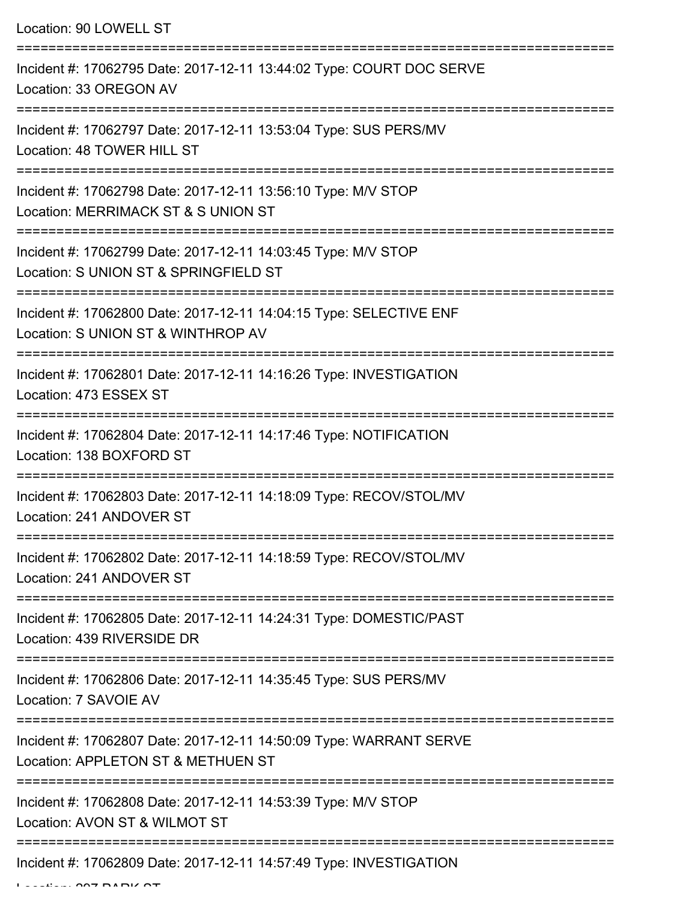Location: 90 LOWELL ST

| Incident #: 17062795 Date: 2017-12-11 13:44:02 Type: COURT DOC SERVE<br>Location: 33 OREGON AV           |
|----------------------------------------------------------------------------------------------------------|
| Incident #: 17062797 Date: 2017-12-11 13:53:04 Type: SUS PERS/MV<br>Location: 48 TOWER HILL ST           |
| Incident #: 17062798 Date: 2017-12-11 13:56:10 Type: M/V STOP<br>Location: MERRIMACK ST & S UNION ST     |
| Incident #: 17062799 Date: 2017-12-11 14:03:45 Type: M/V STOP<br>Location: S UNION ST & SPRINGFIELD ST   |
| Incident #: 17062800 Date: 2017-12-11 14:04:15 Type: SELECTIVE ENF<br>Location: S UNION ST & WINTHROP AV |
| Incident #: 17062801 Date: 2017-12-11 14:16:26 Type: INVESTIGATION<br>Location: 473 ESSEX ST             |
| Incident #: 17062804 Date: 2017-12-11 14:17:46 Type: NOTIFICATION<br>Location: 138 BOXFORD ST            |
| Incident #: 17062803 Date: 2017-12-11 14:18:09 Type: RECOV/STOL/MV<br>Location: 241 ANDOVER ST           |
| Incident #: 17062802 Date: 2017-12-11 14:18:59 Type: RECOV/STOL/MV<br>Location: 241 ANDOVER ST           |
| Incident #: 17062805 Date: 2017-12-11 14:24:31 Type: DOMESTIC/PAST<br>Location: 439 RIVERSIDE DR         |
| Incident #: 17062806 Date: 2017-12-11 14:35:45 Type: SUS PERS/MV<br>Location: 7 SAVOIE AV                |
| Incident #: 17062807 Date: 2017-12-11 14:50:09 Type: WARRANT SERVE<br>Location: APPLETON ST & METHUEN ST |
| Incident #: 17062808 Date: 2017-12-11 14:53:39 Type: M/V STOP<br>Location: AVON ST & WILMOT ST           |
| Incident #: 17062809 Date: 2017-12-11 14:57:49 Type: INVESTIGATION                                       |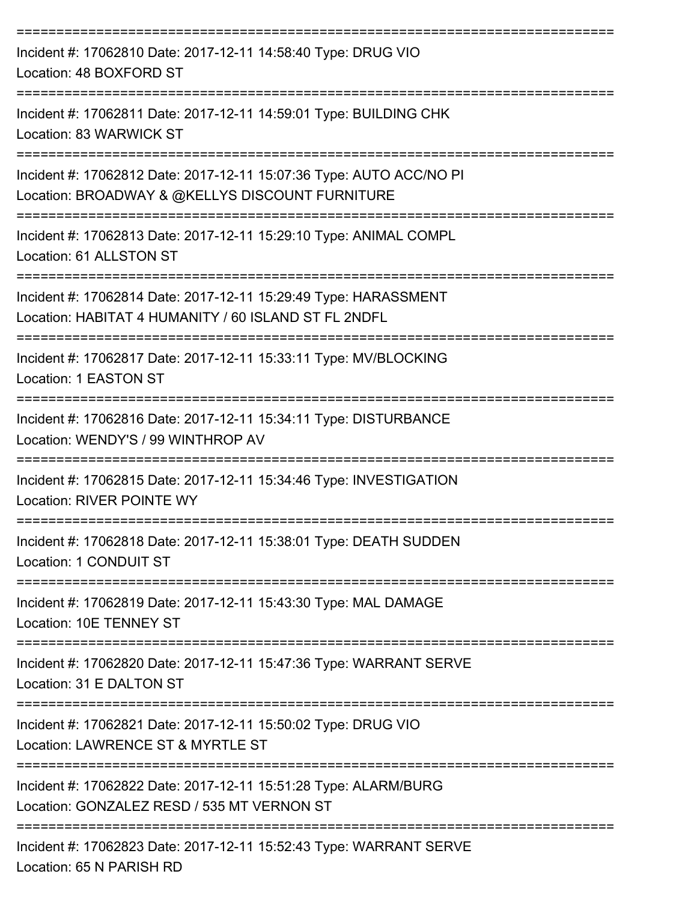| Incident #: 17062810 Date: 2017-12-11 14:58:40 Type: DRUG VIO<br>Location: 48 BOXFORD ST                                                                            |
|---------------------------------------------------------------------------------------------------------------------------------------------------------------------|
| Incident #: 17062811 Date: 2017-12-11 14:59:01 Type: BUILDING CHK<br>Location: 83 WARWICK ST                                                                        |
| Incident #: 17062812 Date: 2017-12-11 15:07:36 Type: AUTO ACC/NO PI<br>Location: BROADWAY & @KELLYS DISCOUNT FURNITURE                                              |
| Incident #: 17062813 Date: 2017-12-11 15:29:10 Type: ANIMAL COMPL<br>Location: 61 ALLSTON ST                                                                        |
| Incident #: 17062814 Date: 2017-12-11 15:29:49 Type: HARASSMENT<br>Location: HABITAT 4 HUMANITY / 60 ISLAND ST FL 2NDFL                                             |
| Incident #: 17062817 Date: 2017-12-11 15:33:11 Type: MV/BLOCKING<br>Location: 1 EASTON ST                                                                           |
| Incident #: 17062816 Date: 2017-12-11 15:34:11 Type: DISTURBANCE<br>Location: WENDY'S / 99 WINTHROP AV                                                              |
| Incident #: 17062815 Date: 2017-12-11 15:34:46 Type: INVESTIGATION<br><b>Location: RIVER POINTE WY</b>                                                              |
| Incident #: 17062818 Date: 2017-12-11 15:38:01 Type: DEATH SUDDEN<br>Location: 1 CONDUIT ST                                                                         |
| ------------------------------------<br>-----------------------------<br>Incident #: 17062819 Date: 2017-12-11 15:43:30 Type: MAL DAMAGE<br>Location: 10E TENNEY ST |
| Incident #: 17062820 Date: 2017-12-11 15:47:36 Type: WARRANT SERVE<br>Location: 31 E DALTON ST                                                                      |
| ---------------------------<br>Incident #: 17062821 Date: 2017-12-11 15:50:02 Type: DRUG VIO<br>Location: LAWRENCE ST & MYRTLE ST                                   |
| Incident #: 17062822 Date: 2017-12-11 15:51:28 Type: ALARM/BURG<br>Location: GONZALEZ RESD / 535 MT VERNON ST                                                       |
| Incident #: 17062823 Date: 2017-12-11 15:52:43 Type: WARRANT SERVE<br>Location: 65 N PARISH RD                                                                      |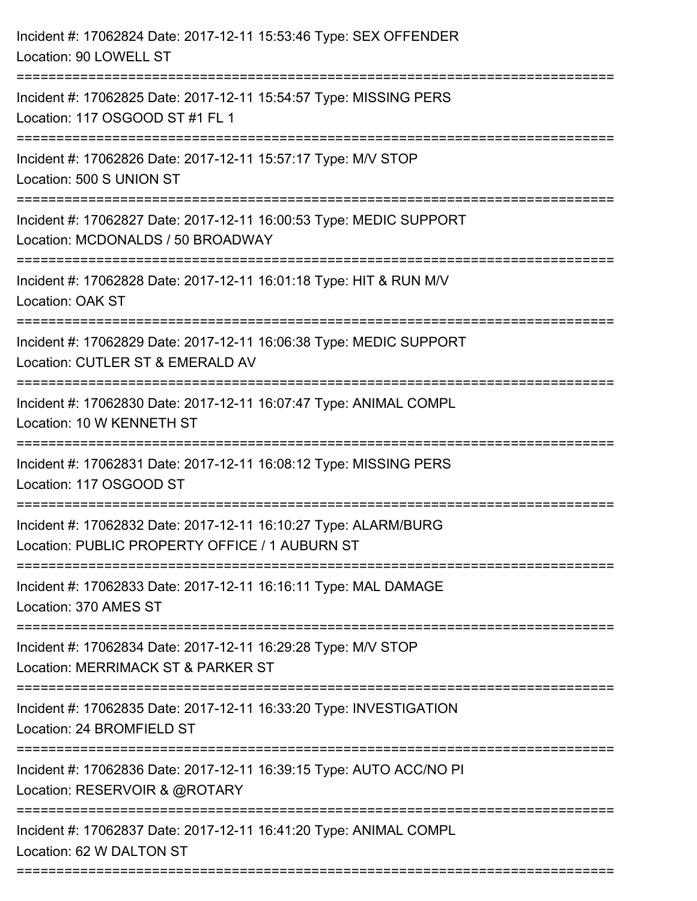| Incident #: 17062824 Date: 2017-12-11 15:53:46 Type: SEX OFFENDER<br>Location: 90 LOWELL ST                                |
|----------------------------------------------------------------------------------------------------------------------------|
| Incident #: 17062825 Date: 2017-12-11 15:54:57 Type: MISSING PERS<br>Location: 117 OSGOOD ST #1 FL 1                       |
| Incident #: 17062826 Date: 2017-12-11 15:57:17 Type: M/V STOP<br>Location: 500 S UNION ST                                  |
| Incident #: 17062827 Date: 2017-12-11 16:00:53 Type: MEDIC SUPPORT<br>Location: MCDONALDS / 50 BROADWAY                    |
| Incident #: 17062828 Date: 2017-12-11 16:01:18 Type: HIT & RUN M/V<br>Location: OAK ST                                     |
| Incident #: 17062829 Date: 2017-12-11 16:06:38 Type: MEDIC SUPPORT<br>Location: CUTLER ST & EMERALD AV<br>:=============== |
| Incident #: 17062830 Date: 2017-12-11 16:07:47 Type: ANIMAL COMPL<br>Location: 10 W KENNETH ST                             |
| Incident #: 17062831 Date: 2017-12-11 16:08:12 Type: MISSING PERS<br>Location: 117 OSGOOD ST                               |
| Incident #: 17062832 Date: 2017-12-11 16:10:27 Type: ALARM/BURG<br>Location: PUBLIC PROPERTY OFFICE / 1 AUBURN ST          |
| Incident #: 17062833 Date: 2017-12-11 16:16:11 Type: MAL DAMAGE<br>Location: 370 AMES ST                                   |
| Incident #: 17062834 Date: 2017-12-11 16:29:28 Type: M/V STOP<br>Location: MERRIMACK ST & PARKER ST                        |
| Incident #: 17062835 Date: 2017-12-11 16:33:20 Type: INVESTIGATION<br>Location: 24 BROMFIELD ST                            |
| Incident #: 17062836 Date: 2017-12-11 16:39:15 Type: AUTO ACC/NO PI<br>Location: RESERVOIR & @ROTARY                       |
| Incident #: 17062837 Date: 2017-12-11 16:41:20 Type: ANIMAL COMPL<br>Location: 62 W DALTON ST                              |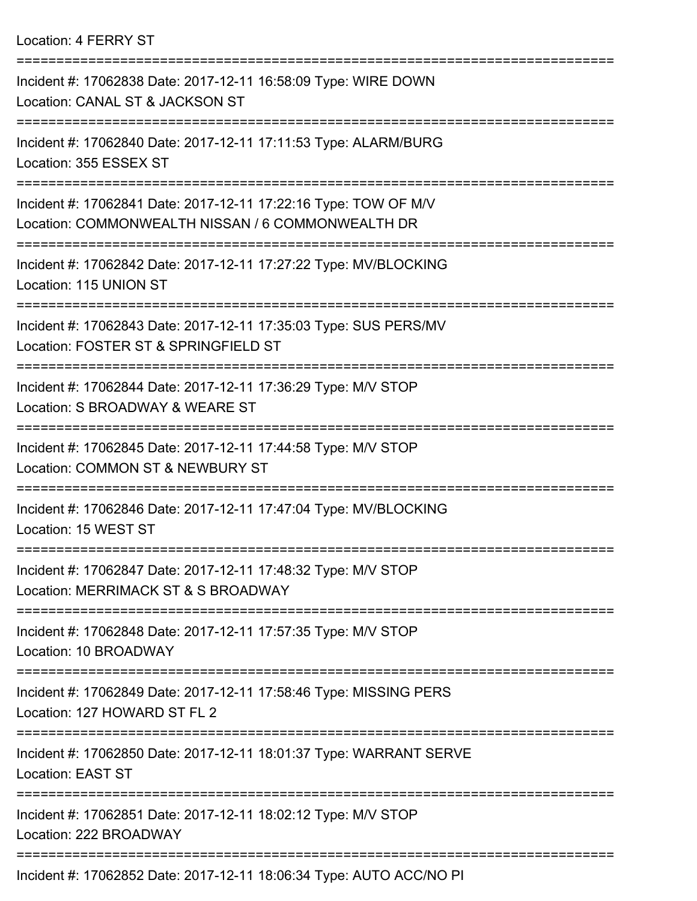Location: 4 FERRY ST

| Incident #: 17062838 Date: 2017-12-11 16:58:09 Type: WIRE DOWN<br>Location: CANAL ST & JACKSON ST                    |
|----------------------------------------------------------------------------------------------------------------------|
| Incident #: 17062840 Date: 2017-12-11 17:11:53 Type: ALARM/BURG<br>Location: 355 ESSEX ST                            |
| Incident #: 17062841 Date: 2017-12-11 17:22:16 Type: TOW OF M/V<br>Location: COMMONWEALTH NISSAN / 6 COMMONWEALTH DR |
| Incident #: 17062842 Date: 2017-12-11 17:27:22 Type: MV/BLOCKING<br>Location: 115 UNION ST                           |
| Incident #: 17062843 Date: 2017-12-11 17:35:03 Type: SUS PERS/MV<br>Location: FOSTER ST & SPRINGFIELD ST             |
| Incident #: 17062844 Date: 2017-12-11 17:36:29 Type: M/V STOP<br>Location: S BROADWAY & WEARE ST                     |
| Incident #: 17062845 Date: 2017-12-11 17:44:58 Type: M/V STOP<br>Location: COMMON ST & NEWBURY ST                    |
| Incident #: 17062846 Date: 2017-12-11 17:47:04 Type: MV/BLOCKING<br>Location: 15 WEST ST                             |
| Incident #: 17062847 Date: 2017-12-11 17:48:32 Type: M/V STOP<br>Location: MERRIMACK ST & S BROADWAY                 |
| Incident #: 17062848 Date: 2017-12-11 17:57:35 Type: M/V STOP<br>Location: 10 BROADWAY                               |
| Incident #: 17062849 Date: 2017-12-11 17:58:46 Type: MISSING PERS<br>Location: 127 HOWARD ST FL 2                    |
| Incident #: 17062850 Date: 2017-12-11 18:01:37 Type: WARRANT SERVE<br><b>Location: EAST ST</b>                       |
| Incident #: 17062851 Date: 2017-12-11 18:02:12 Type: M/V STOP<br>Location: 222 BROADWAY                              |
| $0.0050$ $D_{11}$ , $0.047$ $40$ $44$ $40.00$ , $0.4$ $T_{1}$ , $\ldots$ , $0.11$ $T_{1}$ $0.00$ $N_{1}$ $0.01$      |

Incident #: 17062852 Date: 2017-12-11 18:06:34 Type: AUTO ACC/NO PI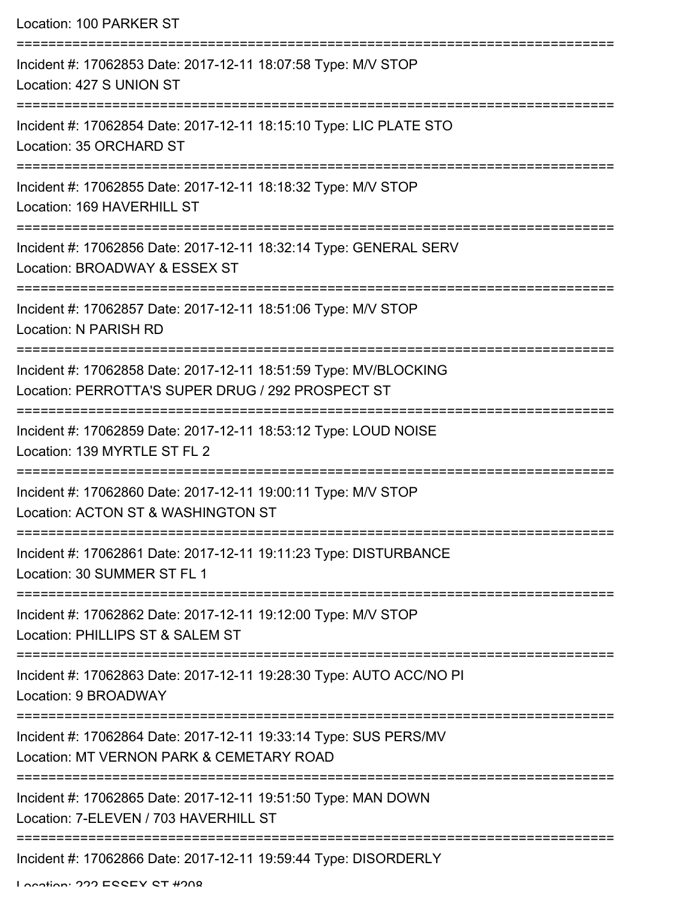| Location: 100 PARKER ST                                                                                                                       |
|-----------------------------------------------------------------------------------------------------------------------------------------------|
| Incident #: 17062853 Date: 2017-12-11 18:07:58 Type: M/V STOP<br>Location: 427 S UNION ST                                                     |
| Incident #: 17062854 Date: 2017-12-11 18:15:10 Type: LIC PLATE STO<br>Location: 35 ORCHARD ST                                                 |
| Incident #: 17062855 Date: 2017-12-11 18:18:32 Type: M/V STOP<br>Location: 169 HAVERHILL ST                                                   |
| Incident #: 17062856 Date: 2017-12-11 18:32:14 Type: GENERAL SERV<br>Location: BROADWAY & ESSEX ST                                            |
| Incident #: 17062857 Date: 2017-12-11 18:51:06 Type: M/V STOP<br>Location: N PARISH RD                                                        |
| Incident #: 17062858 Date: 2017-12-11 18:51:59 Type: MV/BLOCKING<br>Location: PERROTTA'S SUPER DRUG / 292 PROSPECT ST                         |
| Incident #: 17062859 Date: 2017-12-11 18:53:12 Type: LOUD NOISE<br>Location: 139 MYRTLE ST FL 2                                               |
| Incident #: 17062860 Date: 2017-12-11 19:00:11 Type: M/V STOP<br>Location: ACTON ST & WASHINGTON ST                                           |
| Incident #: 17062861 Date: 2017-12-11 19:11:23 Type: DISTURBANCE<br>Location: 30 SUMMER ST FL 1                                               |
| Incident #: 17062862 Date: 2017-12-11 19:12:00 Type: M/V STOP<br>Location: PHILLIPS ST & SALEM ST                                             |
| Incident #: 17062863 Date: 2017-12-11 19:28:30 Type: AUTO ACC/NO PI<br>Location: 9 BROADWAY                                                   |
| =============================<br>Incident #: 17062864 Date: 2017-12-11 19:33:14 Type: SUS PERS/MV<br>Location: MT VERNON PARK & CEMETARY ROAD |
| Incident #: 17062865 Date: 2017-12-11 19:51:50 Type: MAN DOWN<br>Location: 7-ELEVEN / 703 HAVERHILL ST                                        |
| Incident #: 17062866 Date: 2017-12-11 19:59:44 Type: DISORDERLY                                                                               |